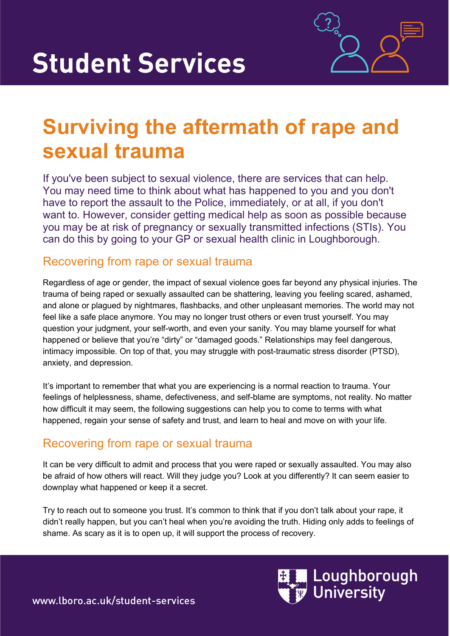

# **Surviving the aftermath of rape and sexual trauma**

If you've been subject to sexual violence, there are services that can help. You may need time to think about what has happened to you and you don't have to report the assault to the Police, immediately, or at all, if you don't want to. However, consider getting medical help as soon as possible because you may be at risk of pregnancy or sexually transmitted infections (STIs). You can do this by going to your GP or sexual health clinic in Loughborough.

### Recovering from rape or sexual trauma

Regardless of age or gender, the impact of sexual violence goes far beyond any physical injuries. The trauma of being raped or sexually assaulted can be shattering, leaving you feeling scared, ashamed, and alone or plagued by nightmares, flashbacks, and other unpleasant memories. The world may not feel like a safe place anymore. You may no longer trust others or even trust yourself. You may question your judgment, your self-worth, and even your sanity. You may blame yourself for what happened or believe that you're "dirty" or "damaged goods." Relationships may feel dangerous, intimacy impossible. On top of that, you may struggle with post-traumatic stress disorder (PTSD), anxiety, and depression.

It's important to remember that what you are experiencing is a normal reaction to trauma. Your feelings of helplessness, shame, defectiveness, and self-blame are symptoms, not reality. No matter how difficult it may seem, the following suggestions can help you to come to terms with what happened, regain your sense of safety and trust, and learn to heal and move on with your life.

## Recovering from rape or sexual trauma

It can be very difficult to admit and process that you were raped or sexually assaulted. You may also be afraid of how others will react. Will they judge you? Look at you differently? It can seem easier to downplay what happened or keep it a secret.

Try to reach out to someone you trust. It's common to think that if you don't talk about your rape, it didn't really happen, but you can't heal when you're avoiding the truth. Hiding only adds to feelings of shame. As scary as it is to open up, it will support the process of recovery.



www.lboro.ac.uk/student-services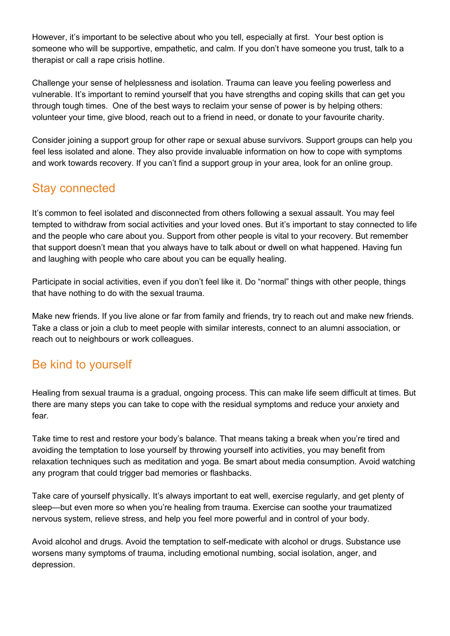However, it's important to be selective about who you tell, especially at first. Your best option is someone who will be supportive, empathetic, and calm. If you don't have someone you trust, talk to a therapist or call a rape crisis hotline.

Challenge your sense of helplessness and isolation. Trauma can leave you feeling powerless and vulnerable. It's important to remind yourself that you have strengths and coping skills that can get you through tough times. One of the best ways to reclaim your sense of power is by helping others: volunteer your time, give blood, reach out to a friend in need, or donate to your favourite charity.

Consider joining a support group for other rape or sexual abuse survivors. Support groups can help you feel less isolated and alone. They also provide invaluable information on how to cope with symptoms and work towards recovery. If you can't find a support group in your area, look for an online group.

## Stay connected

It's common to feel isolated and disconnected from others following a sexual assault. You may feel tempted to withdraw from social activities and your loved ones. But it's important to stay connected to life and the people who care about you. Support from other people is vital to your recovery. But remember that support doesn't mean that you always have to talk about or dwell on what happened. Having fun and laughing with people who care about you can be equally healing.

Participate in social activities, even if you don't feel like it. Do "normal" things with other people, things that have nothing to do with the sexual trauma.

Make new friends. If you live alone or far from family and friends, try to reach out and make new friends. Take a class or join a club to meet people with similar interests, connect to an alumni association, or reach out to neighbours or work colleagues.

## Be kind to yourself

Healing from sexual trauma is a gradual, ongoing process. This can make life seem difficult at times. But there are many steps you can take to cope with the residual symptoms and reduce your anxiety and fear.

Take time to rest and restore your body's balance. That means taking a break when you're tired and avoiding the temptation to lose yourself by throwing yourself into activities, you may benefit from relaxation techniques such as meditation and yoga. Be smart about media consumption. Avoid watching any program that could trigger bad memories or flashbacks.

Take care of yourself physically. It's always important to eat well, exercise regularly, and get plenty of sleep—but even more so when you're healing from trauma. Exercise can soothe your traumatized nervous system, relieve stress, and help you feel more powerful and in control of your body.

Avoid alcohol and drugs. Avoid the temptation to self-medicate with alcohol or drugs. Substance use worsens many symptoms of trauma, including emotional numbing, social isolation, anger, and depression.